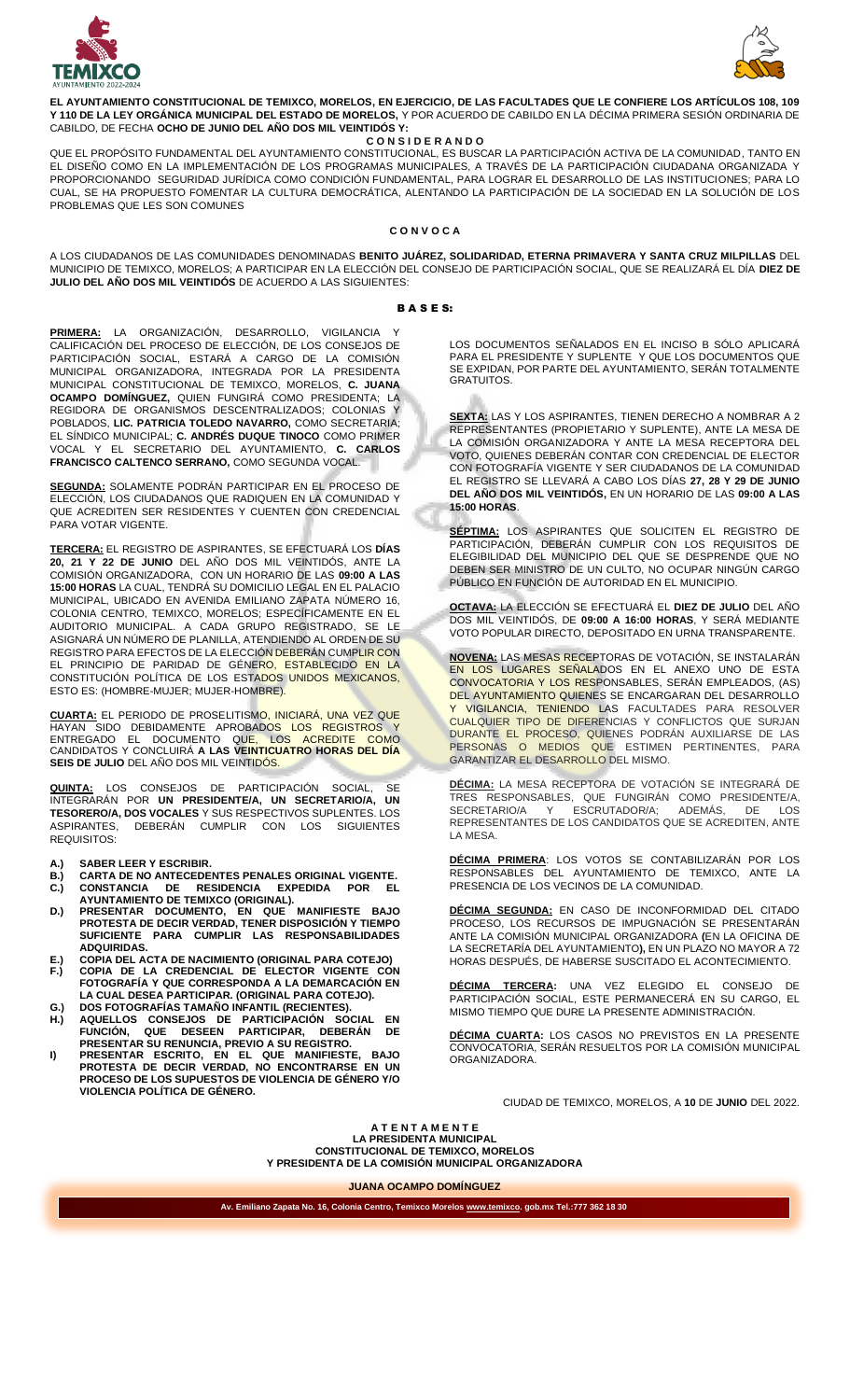



**EL AYUNTAMIENTO CONSTITUCIONAL DE TEMIXCO, MORELOS, EN EJERCICIO, DE LAS FACULTADES QUE LE CONFIERE LOS ARTÍCULOS 108, 109 Y 110 DE LA LEY ORGÁNICA MUNICIPAL DEL ESTADO DE MORELOS,** Y POR ACUERDO DE CABILDO EN LA DÉCIMA PRIMERA SESIÓN ORDINARIA DE CABILDO, DE FECHA **OCHO DE JUNIO DEL AÑO DOS MIL VEINTIDÓS Y:**

**C O N S I D E R A N D O**

QUE EL PROPÓSITO FUNDAMENTAL DEL AYUNTAMIENTO CONSTITUCIONAL, ES BUSCAR LA PARTICIPACIÓN ACTIVA DE LA COMUNIDAD, TANTO EN EL DISEÑO COMO EN LA IMPLEMENTACIÓN DE LOS PROGRAMAS MUNICIPALES, A TRAVÉS DE LA PARTICIPACIÓN CIUDADANA ORGANIZADA Y PROPORCIONANDO SEGURIDAD JURÍDICA COMO CONDICIÓN FUNDAMENTAL, PARA LOGRAR EL DESARROLLO DE LAS INSTITUCIONES; PARA LO CUAL, SE HA PROPUESTO FOMENTAR LA CULTURA DEMOCRÁTICA, ALENTANDO LA PARTICIPACIÓN DE LA SOCIEDAD EN LA SOLUCIÓN DE LOS PROBLEMAS QUE LES SON COMUNES

## **C O N V O C A**

A LOS CIUDADANOS DE LAS COMUNIDADES DENOMINADAS **BENITO JUÁREZ, SOLIDARIDAD, ETERNA PRIMAVERA Y SANTA CRUZ MILPILLAS** DEL MUNICIPIO DE TEMIXCO, MORELOS; A PARTICIPAR EN LA ELECCIÓN DEL CONSEJO DE PARTICIPACIÓN SOCIAL, QUE SE REALIZARÁ EL DÍA **DIEZ DE JULIO DEL AÑO DOS MIL VEINTIDÓS** DE ACUERDO A LAS SIGUIENTES:

## B A S E S:

PRIMERA: LA ORGANIZACIÓN, DESARROLLO, VIGILANCIA CALIFICACIÓN DEL PROCESO DE ELECCIÓN, DE LOS CONSEJOS DE PARTICIPACIÓN SOCIAL, ESTARÁ A CARGO DE LA COMISIÓN MUNICIPAL ORGANIZADORA, INTEGRADA POR LA PRESIDENTA MUNICIPAL CONSTITUCIONAL DE TEMIXCO, MORELOS, **C. JUANA OCAMPO DOMÍNGUEZ,** QUIEN FUNGIRÁ COMO PRESIDENTA; LA REGIDORA DE ORGANISMOS DESCENTRALIZADOS; COLONIAS POBLADOS, **LIC. PATRICIA TOLEDO NAVARRO,** COMO SECRETARIA; EL SÍNDICO MUNICIPAL; **C. ANDRÉS DUQUE TINOCO** COMO PRIMER VOCAL Y EL SECRETARIO DEL AYUNTAMIENTO, **C. CARLOS FRANCISCO CALTENCO SERRANO,** COMO SEGUNDA VOCAL.

**SEGUNDA:** SOLAMENTE PODRÁN PARTICIPAR EN EL PROCESO DE ELECCIÓN, LOS CIUDADANOS QUE RADIQUEN EN LA COMUNIDAD Y QUE ACREDITEN SER RESIDENTES Y CUENTEN CON CREDENCIAL PARA VOTAR VIGENTE.

**TERCERA:** EL REGISTRO DE ASPIRANTES, SE EFECTUARÁ LOS **DÍAS 20, 21 Y 22 DE JUNIO** DEL AÑO DOS MIL VEINTIDÓS, ANTE LA COMISIÓN ORGANIZADORA, CON UN HORARIO DE LAS **09:00 A LAS 15:00 HORAS** LA CUAL, TENDRÁ SU DOMICILIO LEGAL EN EL PALACIO MUNICIPAL, UBICADO EN AVENIDA EMILIANO ZAPATA NÚMERO 16, COLONIA CENTRO, TEMIXCO, MORELOS; ESPECÍFICAMENTE EN EL AUDITORIO MUNICIPAL. A CADA GRUPO REGISTRADO, SE LE ASIGNARÁ UN NÚMERO DE PLANILLA, ATENDIENDO AL ORDEN DE SU REGISTRO PARA EFECTOS DE LA ELECCIÓN DEBERÁN CUMPLIR CON EL PRINCIPIO DE PARIDAD DE GÉNE<mark>RO, ESTABLECIDO EN LA</mark> CONSTITUCIÓN POLÍTICA DE LOS ESTADOS UNIDOS MEXICANOS, ESTO ES: (HOMBRE-MUJER; MUJER-HOMBRE).

**CUARTA:** EL PERIODO DE PROSELITISMO, INICIARÁ, UNA VEZ QUE HAYAN SIDO DEBIDAMENTE APROBADOS LOS REGISTROS Y ENTREGADO EL DOCUMENTO QUE, LOS ACREDITE COMO CANDIDATOS Y CONCLUIRÁ **A LAS VEINTICUATRO HORAS DEL DÍA SEIS DE JULIO** DEL AÑO DOS MIL VEINTIDÓS.

**QUINTA:** LOS CONSEJOS DE PARTICIPACIÓN SOCIAL, SE INTEGRARÁN POR **UN PRESIDENTE/A, UN SECRETARIO/A, UN TESORERO/A, DOS VOCALES** Y SUS RESPECTIVOS SUPLENTES. LOS DEBERÁN CUMPLIR CON LOS REQUISITOS:

- **A.) SABER LEER Y ESCRIBIR. B.) CARTA DE NO ANTECEDENTES PENALES ORIGINAL VIGENTE. C.) CONSTANCIA DE RESIDENCIA EXPEDIDA POR EL**
- **AYUNTAMIENTO DE TEMIXCO (ORIGINAL). D.) PRESENTAR DOCUMENTO, EN QUE MANIFIESTE BAJO PROTESTA DE DECIR VERDAD, TENER DISPOSICIÓN Y TIEMPO SUFICIENTE PARA CUMPLIR LAS RESPONSABILIDADES ADQUIRIDAS.**
- **E.) COPIA DEL ACTA DE NACIMIENTO (ORIGINAL PARA COTEJO) F.) COPIA DE LA CREDENCIAL DE ELECTOR VIGENTE CON FOTOGRAFÍA Y QUE CORRESPONDA A LA DEMARCACIÓN EN LA CUAL DESEA PARTICIPAR. (ORIGINAL PARA COTEJO).**
- **G.) DOS FOTOGRAFÍAS TAMAÑO INFANTIL (RECIENTES). H.) AQUELLOS CONSEJOS DE PARTICIPACIÓN SOCIAL EN**
- **FUNCIÓN, QUE DESEEN PARTICIPAR, DEBERÁN DE PRESENTAR SU RENUNCIA, PREVIO A SU REGISTRO.**
- **I) PRESENTAR ESCRITO, EN EL QUE MANIFIESTE, BAJO PROTESTA DE DECIR VERDAD, NO ENCONTRARSE EN UN PROCESO DE LOS SUPUESTOS DE VIOLENCIA DE GÉNERO Y/O VIOLENCIA POLÍTICA DE GÉNERO.**

LOS DOCUMENTOS SEÑALADOS EN EL INCISO B SÓLO APLICARÁ PARA EL PRESIDENTE Y SUPLENTE Y QUE LOS DOCUMENTOS QUE SE EXPIDAN, POR PARTE DEL AYUNTAMIENTO, SERÁN TOTALMENTE GRATUITOS.

**SEXTA:** LAS Y LOS ASPIRANTES, TIENEN DERECHO A NOMBRAR A 2 REPRESENTANTES (PROPIETARIO Y SUPLENTE), ANTE LA MESA DE LA COMISIÓN ORGANIZADORA Y ANTE LA MESA RECEPTORA DEL VOTO, QUIENES DEBERÁN CONTAR CON CREDENCIAL DE ELECTOR CON FOTOGRAFÍA VIGENTE Y SER CIUDADANOS DE LA COMUNIDAD EL REGISTRO SE LLEVARÁ A CABO LOS DÍAS **27, 28 Y 29 DE JUNIO DEL AÑO DOS MIL VEINTIDÓS,** EN UN HORARIO DE LAS **09:00 A LAS 15:00 HORAS**.

**SÉPTIMA:** LOS ASPIRANTES QUE SOLICITEN EL REGISTRO DE PARTICIPACIÓN, DEBERÁN CUMPLIR CON LOS REQUISITOS DE ELEGIBILIDAD DEL MUNICIPIO DEL QUE SE DESPRENDE QUE NO DEBEN SER MINISTRO DE UN CULTO, NO OCUPAR NINGÚN CARGO PÚBLICO EN FUNCIÓN DE AUTORIDAD EN EL MUNICIPIO.

**OCTAVA:** LA ELECCIÓN SE EFECTUARÁ EL **DIEZ DE JULIO** DEL AÑO DOS MIL VEINTIDÓS, DE **09:00 A 16:00 HORAS**, Y SERÁ MEDIANTE VOTO POPULAR DIRECTO, DEPOSITADO EN URNA TRANSPARENTE.

**NOVENA:** LAS MESAS RECEPTORAS DE VOTACIÓN, SE INSTALARÁN EN LOS LUGARES SENALADOS EN EL ANEXO UNO DE ESTA CONVOCATORIA Y LOS RESPONSABLES, SERÁN EMPLEADOS, (AS) DEL AYUNTAMIENTO QUIENES SE ENCARGARAN DEL DESARROLLO Y VIGILANCIA, TENIENDO LAS FACULTADES PARA RESOLVER CUALQUIER TIPO DE DIFERENCIAS Y CONFLICTOS QUE SURJAN DURANTE EL PROCESO, QUIENES PODRÁN AUXILIARSE DE LAS PERSONAS O MEDIOS QUE ESTIMEN PERTINENTES, PARA GARANTIZAR EL DESARROLLO DEL MISMO.

**DÉCIMA:** LA MESA RECEPTORA DE VOTACIÓN SE INTEGRARÁ DE TRES RESPONSABLES, QUE FUNGIRÁN COMO PRESIDENTE/A, SECRETARIO/A Y ESCRUTADOR/A; ADEMÁS, DE LOS REPRESENTANTES DE LOS CANDIDATOS QUE SE ACREDITEN, ANTE LA MESA.

**DÉCIMA PRIMERA**: LOS VOTOS SE CONTABILIZARÁN POR LOS RESPONSABLES DEL AYUNTAMIENTO DE TEMIXCO, ANTE LA PRESENCIA DE LOS VECINOS DE LA COMUNIDAD.

**DÉCIMA SEGUNDA:** EN CASO DE INCONFORMIDAD DEL CITADO PROCESO, LOS RECURSOS DE IMPUGNACIÓN SE PRESENTARÁN ANTE LA COMISIÓN MUNICIPAL ORGANIZADORA **(**EN LA OFICINA DE LA SECRETARÍA DEL AYUNTAMIENTO**),** EN UN PLAZO NO MAYOR A 72 HORAS DESPUÉS, DE HABERSE SUSCITADO EL ACONTECIMIENTO.

**DÉCIMA TERCERA:** UNA VEZ ELEGIDO EL CONSEJO DE PARTICIPACIÓN SOCIAL, ESTE PERMANECERÁ EN SU CARGO, EL MISMO TIEMPO QUE DURE LA PRESENTE ADMINISTRACIÓN.

**DÉCIMA CUARTA:** LOS CASOS NO PREVISTOS EN LA PRESENTE CONVOCATORIA, SERÁN RESUELTOS POR LA COMISIÓN MUNICIPAL ORGANIZADORA.

CIUDAD DE TEMIXCO, MORELOS, A **10** DE **JUNIO** DEL 2022.

**A T E N T A M E N T E LA PRESIDENTA MUNICIPAL CONSTITUCIONAL DE TEMIXCO, MORELOS Y PRESIDENTA DE LA COMISIÓN MUNICIPAL ORGANIZADORA**

**JUANA OCAMPO DOMÍNGUEZ**

**Av. Emiliano Zapata No. 16, Colonia Centro, Temixco Morelos [www.temixco.](http://www.temixco/) gob.mx Tel.:777 362 18 30**